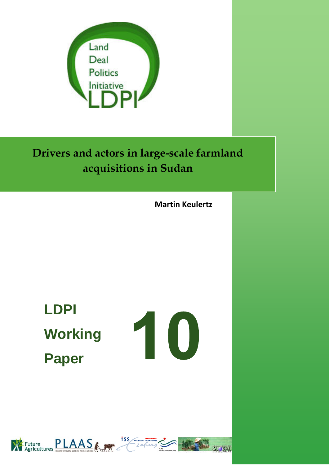

# **Drivers and actors in large-scale farmland acquisitions in Sudan**

**Martin Keulertz**

**LDPI Working Paper** 

# 10



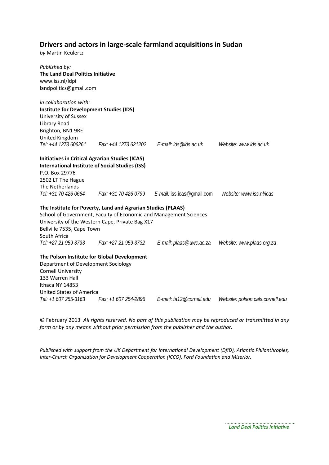### **Drivers and actors in large‐scale farmland acquisitions in Sudan**

*by* Martin Keulertz

| Published by:<br><b>The Land Deal Politics Initiative</b><br>www.iss.nl/ldpi<br>landpolitics@gmail.com |                                                                                                                                                                                      |                                                                      |                                  |
|--------------------------------------------------------------------------------------------------------|--------------------------------------------------------------------------------------------------------------------------------------------------------------------------------------|----------------------------------------------------------------------|----------------------------------|
| in collaboration with:                                                                                 |                                                                                                                                                                                      |                                                                      |                                  |
| <b>Institute for Development Studies (IDS)</b><br>University of Sussex                                 |                                                                                                                                                                                      |                                                                      |                                  |
| Library Road                                                                                           |                                                                                                                                                                                      |                                                                      |                                  |
| Brighton, BN1 9RE                                                                                      |                                                                                                                                                                                      |                                                                      |                                  |
| United Kingdom                                                                                         |                                                                                                                                                                                      |                                                                      |                                  |
|                                                                                                        | Tel: +44 1273 606261 Fax: +44 1273 621202 E-mail: ids@ids.ac.uk                                                                                                                      |                                                                      | Website: www.ids.ac.uk           |
| <b>Initiatives in Critical Agrarian Studies (ICAS)</b>                                                 |                                                                                                                                                                                      |                                                                      |                                  |
|                                                                                                        | <b>International Institute of Social Studies (ISS)</b>                                                                                                                               |                                                                      |                                  |
| P.O. Box 29776                                                                                         |                                                                                                                                                                                      |                                                                      |                                  |
| 2502 LT The Hague                                                                                      |                                                                                                                                                                                      |                                                                      |                                  |
| The Netherlands                                                                                        |                                                                                                                                                                                      |                                                                      |                                  |
|                                                                                                        |                                                                                                                                                                                      | Tel: +31 70 426 0664 Fax: +31 70 426 0799 E-mail: iss.icas@gmail.com | Website: www.iss.nl/icas         |
| Bellville 7535, Cape Town<br>South Africa                                                              | The Institute for Poverty, Land and Agrarian Studies (PLAAS)<br>School of Government, Faculty of Economic and Management Sciences<br>University of the Western Cape, Private Bag X17 |                                                                      |                                  |
|                                                                                                        | Tel: +27 21 959 3733 Fax: +27 21 959 3732                                                                                                                                            | E-mail: plaas@uwc.ac.za                                              | Website: www.plaas.org.za        |
| Department of Development Sociology<br><b>Cornell University</b><br>133 Warren Hall<br>Ithaca NY 14853 | The Polson Institute for Global Development                                                                                                                                          |                                                                      |                                  |
| <b>United States of America</b><br>Tel: +1 607 255-3163                                                | Fax: +1 607 254-2896                                                                                                                                                                 | E-mail: ta12@cornell.edu                                             | Website: polson.cals.cornell.edu |
|                                                                                                        |                                                                                                                                                                                      |                                                                      |                                  |

© February 2013 *All rights reserved. No part of this publication may be reproduced or transmitted in any form or by any means without prior permission from the publisher and the author.*

*Published with support from the UK Department for International Development (DfID), Atlantic Philanthropies, Inter‐Church Organization for Development Cooperation (ICCO), Ford Foundation and Miserior.*

*Land Deal Politics Initiative*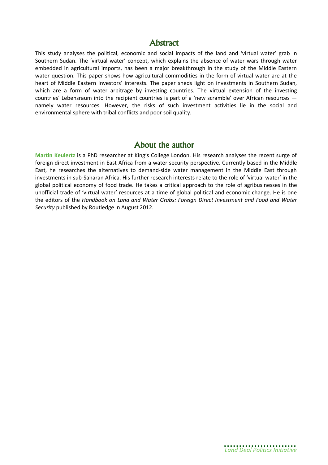### **Abstract**

This study analyses the political, economic and social impacts of the land and 'virtual water' grab in Southern Sudan. The 'virtual water' concept, which explains the absence of water wars through water embedded in agricultural imports, has been a major breakthrough in the study of the Middle Eastern water question. This paper shows how agricultural commodities in the form of virtual water are at the heart of Middle Eastern investors' interests. The paper sheds light on investments in Southern Sudan, which are a form of water arbitrage by investing countries. The virtual extension of the investing countries' Lebensraum into the recipient countries is part of a 'new scramble' over African resources namely water resources. However, the risks of such investment activities lie in the social and environmental sphere with tribal conflicts and poor soil quality.

# **About the author**

**Martin Keulertz** is a PhD researcher at King's College London. His research analyses the recent surge of foreign direct investment in East Africa from a water security perspective. Currently based in the Middle East, he researches the alternatives to demand-side water management in the Middle East through investments in sub-Saharan Africa. His further research interests relate to the role of 'virtual water' in the global political economy of food trade. He takes a critical approach to the role of agribusinesses in the unofficial trade of 'virtual water' resources at a time of global political and economic change. He is one the editors of the *Handbook on Land and Water Grabs: Foreign Direct Investment and Food and Water Security* published by Routledge in August 2012.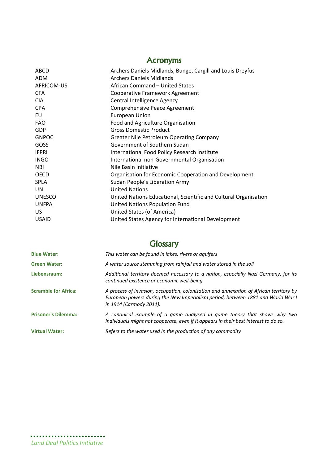# **Acronyms**

| ABCD          | Archers Daniels Midlands, Bunge, Cargill and Louis Dreyfus       |
|---------------|------------------------------------------------------------------|
| ADM           | <b>Archers Daniels Midlands</b>                                  |
| AFRICOM-US    | African Command - United States                                  |
| <b>CFA</b>    | Cooperative Framework Agreement                                  |
| <b>CIA</b>    | Central Intelligence Agency                                      |
| <b>CPA</b>    | Comprehensive Peace Agreement                                    |
| <b>EU</b>     | <b>European Union</b>                                            |
| <b>FAO</b>    | Food and Agriculture Organisation                                |
| <b>GDP</b>    | <b>Gross Domestic Product</b>                                    |
| <b>GNPOC</b>  | <b>Greater Nile Petroleum Operating Company</b>                  |
| GOSS          | Government of Southern Sudan                                     |
| <b>IFPRI</b>  | International Food Policy Research Institute                     |
| <b>INGO</b>   | International non-Governmental Organisation                      |
| <b>NBI</b>    | Nile Basin Initiative                                            |
| <b>OECD</b>   | Organisation for Economic Cooperation and Development            |
| <b>SPLA</b>   | Sudan People's Liberation Army                                   |
| <b>UN</b>     | <b>United Nations</b>                                            |
| <b>UNESCO</b> | United Nations Educational, Scientific and Cultural Organisation |
| <b>UNFPA</b>  | United Nations Population Fund                                   |
| US.           | United States (of America)                                       |
| <b>USAID</b>  | United States Agency for International Development               |
|               |                                                                  |

# **Glossary**

| <b>Blue Water:</b>          | This water can be found in lakes, rivers or aquifers                                                                                                                                                 |  |
|-----------------------------|------------------------------------------------------------------------------------------------------------------------------------------------------------------------------------------------------|--|
| <b>Green Water:</b>         | A water source stemming from rainfall and water stored in the soil                                                                                                                                   |  |
| Liebensraum:                | Additional territory deemed necessary to a nation, especially Nazi Germany, for its<br>continued existence or economic well-being                                                                    |  |
| <b>Scramble for Africa:</b> | A process of invasion, occupation, colonisation and annexation of African territory by<br>European powers during the New Imperialism period, between 1881 and World War I<br>in 1914 (Carmody 2011). |  |
| <b>Prisoner's Dilemma:</b>  | A canonical example of a game analysed in game theory that shows why two<br>individuals might not cooperate, even if it appears in their best interest to do so.                                     |  |
| <b>Virtual Water:</b>       | Refers to the water used in the production of any commodity                                                                                                                                          |  |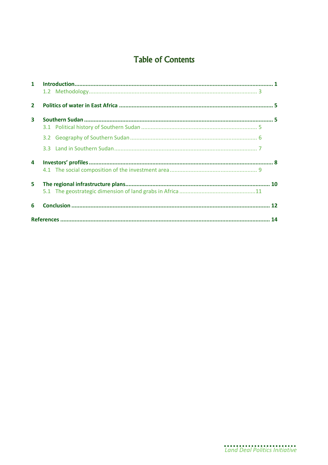# **Table of Contents**

| $\mathbf{2}$ |  |  |
|--------------|--|--|
| 3            |  |  |
|              |  |  |
|              |  |  |
|              |  |  |
| 4            |  |  |
|              |  |  |
| 5.           |  |  |
|              |  |  |
| 6            |  |  |
|              |  |  |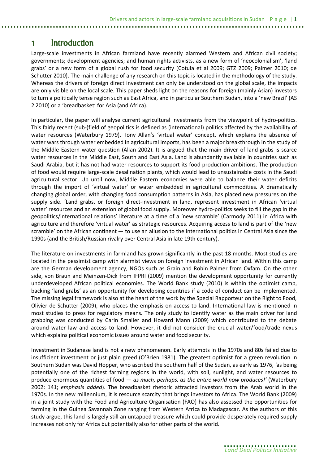# **1 Introduction**

Large-scale investments in African farmland have recently alarmed Western and African civil society; governments; development agencies; and human rights activists, as a new form of 'neocolonialism', 'land grabs' or a new form of a global rush for food security (Cotula et al 2009; GTZ 2009; Palmer 2010; de Schutter 2010). The main challenge of any research on this topic is located in the methodology of the study. Whereas the drivers of foreign direct investment can only be understood on the global scale, the impacts are only visible on the local scale. This paper sheds light on the reasons for foreign (mainly Asian) investors to turn a politically tense region such as East Africa, and in particular Southern Sudan, into a 'new Brazil' (AS 2 2010) or a 'breadbasket' for Asia (and Africa).

In particular, the paper will analyse current agricultural investments from the viewpoint of hydro-politics. This fairly recent (sub-)field of geopolitics is defined as (international) politics affected by the availability of water resources (Waterbury 1979). Tony Allan's 'virtual water' concept, which explains the absence of water wars through water embedded in agricultural imports, has been a major breakthrough in the study of the Middle Eastern water question (Allan 2002). It is argued that the main driver of land grabs is scarce water resources in the Middle East, South and East Asia. Land is abundantly available in countries such as Saudi Arabia, but it has not had water resources to support its food production ambitions. The production of food would require large-scale desalination plants, which would lead to unsustainable costs in the Saudi agricultural sector. Up until now, Middle Eastern economies were able to balance their water deficits through the import of 'virtual water' or water embedded in agricultural commodities. A dramatically changing global order, with changing food consumption patterns in Asia, has placed new pressures on the supply side. 'Land grabs, or foreign direct-investment in land, represent investment in African 'virtual water' resources and an extension of global food supply. Moreover hydro-politics seeks to fill the gap in the geopolitics/international relations' literature at a time of a 'new scramble' (Carmody 2011) in Africa with agriculture and therefore 'virtual water' as strategic resources. Acquiring access to land is part of the 'new scramble' on the African continent — to use an allusion to the international politics in Central Asia since the 1990s (and the British/Russian rivalry over Central Asia in late 19th century).

The literature on investments in farmland has grown significantly in the past 18 months. Most studies are located in the pessimist camp with alarmist views on foreign investment in African land. Within this camp are the German development agency, NGOs such as Grain and Robin Palmer from Oxfam. On the other side, von Braun and Meinzen-Dick from IFPRI (2009) mention the development opportunity for currently underdeveloped African political economies. The World Bank study (2010) is within the optimist camp, backing 'land grabs' as an opportunity for developing countries if a code of conduct can be implemented. The missing legal framework is also at the heart of the work by the Special Rapporteur on the Right to Food, Olivier de Schutter (2009), who places the emphasis on access to land. International law is mentioned in most studies to press for regulatory means. The only study to identify water as the main driver for land grabbing was conducted by Carin Smaller and Howard Mann (2009) which contributed to the debate around water law and access to land. However, it did not consider the crucial water/food/trade nexus which explains political economic issues around water and food security.

Investment in Sudanese land is not a new phenomenon. Early attempts in the 1970s and 80s failed due to insufficient investment or just plain greed (O'Brien 1981). The greatest optimist for a green revolution in Southern Sudan was David Hopper, who ascribed the southern half of the Sudan, as early as 1976, *'*as being potentially one of the richest farming regions in the world, with soil, sunlight, and water resources to produce enormous quantities of food — *as much, perhaps, as the entire world now produces!'* (Waterbury 2002: 141; *emphasis added*). The breadbasket rhetoric attracted investors from the Arab world in the 1970s. In the new millennium, it is resource scarcity that brings investors to Africa. The World Bank (2009) in a joint study with the Food and Agriculture Organisation (FAO) has also assessed the opportunities for farming in the Guinea Savannah Zone ranging from Western Africa to Madagascar. As the authors of this study argue, this land is largely still an untapped treasure which could provide desperately required supply increases not only for Africa but potentially also for other parts of the world.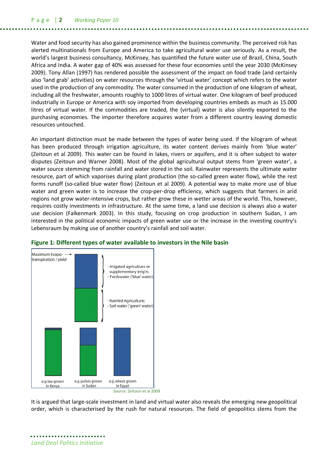Water and food security has also gained prominence within the business community. The perceived risk has alerted multinationals from Europe and America to take agricultural water use seriously. As a result, the world's largest business consultancy, McKinsey, has quantified the future water use of Brazil, China, South Africa and India. A water gap of 40% was assessed for these four economies until the year 2030 (McKinsey 2009). Tony Allan (1997) has rendered possible the assessment of the impact on food trade (and certainly also 'land grab' activities) on water resources through the 'virtual water' concept which refers to the water used in the production of any commodity. The water consumed in the production of one kilogram of wheat, including all the freshwater, amounts roughly to 1000 litres of virtual water. One kilogram of beef produced industrially in Europe or America with soy imported from developing countries embeds as much as 15.000 litres of virtual water. If the commodities are traded, the (virtual) water is also silently exported to the purchasing economies. The importer therefore acquires water from a different country leaving domestic resources untouched.

An important distinction must be made between the types of water being used. If the kilogram of wheat has been produced through irrigation agriculture, its water content derives mainly from 'blue water' (Zeitoun et al 2009). This water can be found in lakes, rivers or aquifers, and it is often subject to water disputes (Zeitoun and Warner 2008). Most of the global agricultural output stems from 'green water', a water source stemming from rainfall and water stored in the soil. Rainwater represents the ultimate water resource, part of which vaporises during plant production (the so-called green water flow), while the rest forms runoff (so-called blue water flow) (Zeitoun et al 2009). A potential way to make more use of blue water and green water is to increase the crop-per-drop efficiency, which suggests that farmers in arid regions not grow water-intensive crops, but rather grow these in wetter areas of the world. This, however, requires costly investments in infrastructure. At the same time, a land use decision is always also a water use decision (Falkenmark 2003). In this study, focusing on crop production in southern Sudan, I am interested in the political economic impacts of green water use or the increase in the investing country's Lebensraum by making use of another country's rainfall and soil water.



### **Figure 1: Different types of water available to investors in the Nile basin**

It is argued that large-scale investment in land and virtual water also reveals the emerging new geopolitical order, which is characterised by the rush for natural resources. The field of geopolitics stems from the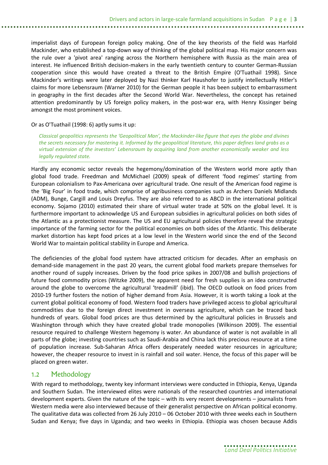imperialist days of European foreign policy making. One of the key theorists of the field was Harfold Mackinder, who established a top-down way of thinking of the global political map. His major concern was the rule over a 'pivot area' ranging across the Northern hemisphere with Russia as the main area of interest. He influenced British decision-makers in the early twentieth century to counter German-Russian cooperation since this would have created a threat to the British Empire (O'Tuathail 1998). Since Mackinder's writings were later deployed by Nazi thinker Karl Haushofer to justify intellectually Hitler's claims for more Lebensraum (Warner 2010) for the German people it has been subject to embarrassment in geography in the first decades after the Second World War. Nevertheless, the concept has retained attention predominantly by US foreign policy makers, in the post-war era, with Henry Kissinger being amongst the most prominent voices.

### Or as O'Tuathail (1998: 6) aptly sums it up:

*Classical geopolitics represents the 'Geopolitical Man', the Mackinder-like figure that eyes the globe and divines the secrets necessary for mastering it. Informed by the geopolitical literature, this paper defines land grabs as a virtual extension of the investors' Lebensraum by acquiring land from another economically weaker and less legally regulated state.*

Hardly any economic sector reveals the hegemony/domination of the Western world more aptly than global food trade. Freedman and McMichael (2009) speak of different 'food regimes' starting from European colonialism to Pax-Americana over agricultural trade. One result of the American food regime is the 'Big Four' in food trade, which comprise of agribusiness companies such as Archers Daniels Midlands (ADM), Bunge, Cargill and Louis Dreyfus. They are also referred to as ABCD in the international political economy. Sojamo (2010) estimated their share of virtual water trade at 50% on the global level. It is furthermore important to acknowledge US and European subsidies in agricultural policies on both sides of the Atlantic as a protectionist measure. The US and EU agricultural policies therefore reveal the strategic importance of the farming sector for the political economies on both sides of the Atlantic. This deliberate market distortion has kept food prices at a low level in the Western world since the end of the Second World War to maintain political stability in Europe and America.

The deficiencies of the global food system have attracted criticism for decades. After an emphasis on demand-side management in the past 20 years, the current global food markets prepare themselves for another round of supply increases. Driven by the food price spikes in 2007/08 and bullish projections of future food commodity prices (Witzke 2009), the apparent need for fresh supplies is an idea constructed around the globe to overcome the agricultural 'treadmill' (ibid). The OECD outlook on food prices from 2010-19 further fosters the notion of higher demand from Asia. However, it is worth taking a look at the current global political economy of food. Western food traders have privileged access to global agricultural commodities due to the foreign direct investment in overseas agriculture, which can be traced back hundreds of years. Global food prices are thus determined by the agricultural policies in Brussels and Washington through which they have created global trade monopolies (Wilkinson 2009). The essential resource required to challenge Western hegemony is water. An abundance of water is not available in all parts of the globe; investing countries such as Saudi-Arabia and China lack this precious resource at a time of population increase. Sub-Saharan Africa offers desperately needed water resources in agriculture; however, the cheaper resource to invest in is rainfall and soil water. Hence, the focus of this paper will be placed on green water.

### 1.2 Methodology

With regard to methodology, twenty key informant interviews were conducted in Ethiopia, Kenya, Uganda and Southern Sudan. The interviewed elites were nationals of the researched countries and international development experts. Given the nature of the topic – with its very recent developments – journalists from Western media were also interviewed because of their generalist perspective on African political economy. The qualitative data was collected from 26 July 2010 – 06 October 2010 with three weeks each in Southern Sudan and Kenya; five days in Uganda; and two weeks in Ethiopia. Ethiopia was chosen because Addis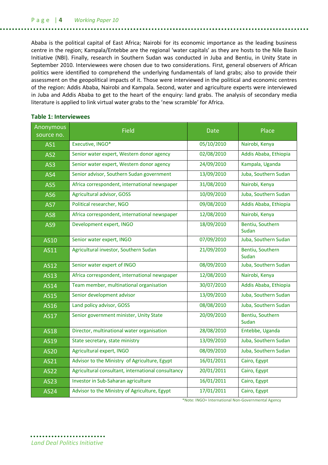Ababa is the political capital of East Africa; Nairobi for its economic importance as the leading business centre in the region; Kampala/Entebbe are the regional 'water capitals' as they are hosts to the Nile Basin Initiative (NBI). Finally, research in Southern Sudan was conducted in Juba and Bentiu, in Unity State in September 2010. Interviewees were chosen due to two considerations. First, general observers of African politics were identified to comprehend the underlying fundamentals of land grabs; also to provide their assessment on the geopolitical impacts of it. Those were interviewed in the political and economic centres of the region: Addis Ababa, Nairobi and Kampala. Second, water and agriculture experts were interviewed in Juba and Addis Ababa to get to the heart of the enquiry: land grabs. The analysis of secondary media literature is applied to link virtual water grabs to the 'new scramble' for Africa.

| Anonymous<br>source no. | <b>Field</b>                                       |            | Place                     |
|-------------------------|----------------------------------------------------|------------|---------------------------|
| AS1                     | Executive, INGO*                                   | 05/10/2010 | Nairobi, Kenya            |
| AS <sub>2</sub>         | Senior water expert, Western donor agency          | 02/08/2010 | Addis Ababa, Ethiopia     |
| AS3                     | Senior water expert, Western donor agency          | 24/09/2010 | Kampala, Uganda           |
| AS4                     | Senior advisor, Southern Sudan government          | 13/09/2010 | Juba, Southern Sudan      |
| AS5                     | Africa correspondent, international newspaper      | 31/08/2010 | Nairobi, Kenya            |
| AS <sub>6</sub>         | Agricultural advisor, GOSS                         | 10/09/2010 | Juba, Southern Sudan      |
| AS7                     | Political researcher, NGO                          | 09/08/2010 | Addis Ababa, Ethiopia     |
| AS8                     | Africa correspondent, international newspaper      |            | Nairobi, Kenya            |
| AS9                     | Development expert, INGO                           | 18/09/2010 | Bentiu, Southern<br>Sudan |
| <b>AS10</b>             | Senior water expert, INGO                          | 07/09/2010 | Juba, Southern Sudan      |
| <b>AS11</b>             | Agricultural investor, Southern Sudan              | 21/09/2010 | Bentiu, Southern<br>Sudan |
| <b>AS12</b>             | Senior water expert of INGO                        | 08/09/2010 | Juba, Southern Sudan      |
| <b>AS13</b>             | Africa correspondent, international newspaper      | 12/08/2010 | Nairobi, Kenya            |
| <b>AS14</b>             | Team member, multinational organisation            | 30/07/2010 | Addis Ababa, Ethiopia     |
| <b>AS15</b>             | Senior development advisor                         | 13/09/2010 | Juba, Southern Sudan      |
| AS16                    | Land policy advisor, GOSS                          | 08/08/2010 | Juba, Southern Sudan      |
| <b>AS17</b>             | Senior government minister, Unity State            | 20/09/2010 | Bentiu, Southern<br>Sudan |
| <b>AS18</b>             | Director, multinational water organisation         | 28/08/2010 | Entebbe, Uganda           |
| <b>AS19</b>             | State secretary, state ministry                    | 13/09/2010 | Juba, Southern Sudan      |
| <b>AS20</b>             | Agricultural expert, INGO                          | 08/09/2010 | Juba, Southern Sudan      |
| <b>AS21</b>             | Advisor to the Ministry of Agriculture, Egypt      | 16/01/2011 | Cairo, Egypt              |
| <b>AS22</b>             | Agricultural consultant, international consultancy | 20/01/2011 | Cairo, Egypt              |
| <b>AS23</b>             | Investor in Sub-Saharan agriculture                | 16/01/2011 | Cairo, Egypt              |
| <b>AS24</b>             | Advisor to the Ministry of Agriculture, Egypt      | 17/01/2011 | Cairo, Egypt              |

### **Table 1: Interviewees**

\*Note: INGO= International Non-Governmental Agency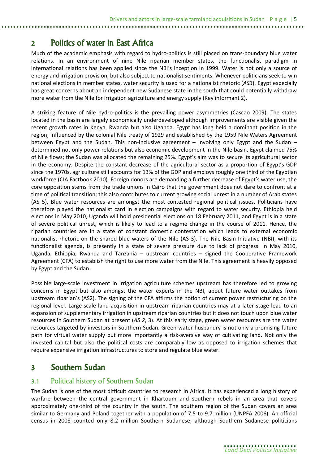# **2 Politics of water in East Africa**

Much of the academic emphasis with regard to hydro-politics is still placed on trans-boundary blue water relations. In an environment of nine Nile riparian member states, the functionalist paradigm in international relations has been applied since the NBI's inception in 1999. Water is not only a source of energy and irrigation provision, but also subject to nationalist sentiments. Whenever politicians seek to win national elections in member states, water security is used for a nationalist rhetoric (*AS3*). Egypt especially has great concerns about an independent new Sudanese state in the south that could potentially withdraw more water from the Nile for irrigation agriculture and energy supply (Key informant 2).

A striking feature of Nile hydro-politics is the prevailing power asymmetries (Cascao 2009). The states located in the basin are largely economically underdeveloped although improvements are visible given the recent growth rates in Kenya, Rwanda but also Uganda. Egypt has long held a dominant position in the region; influenced by the colonial Nile treaty of 1929 and established by the 1959 Nile Waters Agreement between Egypt and the Sudan. This non-inclusive agreement – involving only Egypt and the Sudan – determined not only power relations but also economic development in the Nile basin. Egypt claimed 75% of Nile flows; the Sudan was allocated the remaining 25%. Egypt's aim was to secure its agricultural sector in the economy. Despite the constant decrease of the agricultural sector as a proportion of Egypt's GDP since the 1970s, agriculture still accounts for 13% of the GDP and employs roughly one third of the Egyptian workforce (CIA Factbook 2010). Foreign donors are demanding a further decrease of Egypt's water use, the core opposition stems from the trade unions in Cairo that the government does not dare to confront at a time of political transition; this also contributes to current growing social unrest in a number of Arab states (AS 5). Blue water resources are amongst the most contested regional political issues. Politicians have therefore played the nationalist card in election campaigns with regard to water security. Ethiopia held elections in May 2010, Uganda will hold presidential elections on 18 February 2011, and Egypt is in a state of severe political unrest, which is likely to lead to a regime change in the course of 2011. Hence, the riparian countries are in a state of constant domestic contestation which leads to external economic nationalist rhetoric on the shared blue waters of the Nile (AS 3). The Nile Basin Initiative (NBI), with its functionalist agenda, is presently in a state of severe pressure due to lack of progress. In May 2010, Uganda, Ethiopia, Rwanda and Tanzania – upstream countries – signed the Cooperative Framework Agreement (CFA) to establish the right to use more water from the Nile. This agreement is heavily opposed by Egypt and the Sudan.

Possible large-scale investment in irrigation agriculture schemes upstream has therefore led to growing concerns in Egypt but also amongst the water experts in the NBI, about future water outtakes from upstream riparian's (AS2). The signing of the CFA affirms the notion of current power restructuring on the regional level. Large-scale land acquisition in upstream riparian countries may at a later stage lead to an expansion of supplementary irrigation in upstream riparian countries but it does not touch upon blue water resources in Southern Sudan at present (*AS 2*, 3). At this early stage, green water resources are the water resources targeted by investors in Southern Sudan. Green water husbandry is not only a promising future path for virtual water supply but more importantly a risk-aversive way of cultivating land. Not only the invested capital but also the political costs are comparably low as opposed to irrigation schemes that require expensive irrigation infrastructures to store and regulate blue water.

# **3 Southern Sudan**

### 3.1 Political history of Southern Sudan

The Sudan is one of the most difficult countries to research in Africa. It has experienced a long history of warfare between the central government in Khartoum and southern rebels in an area that covers approximately one-third of the country in the south. The southern region of the Sudan covers an area similar to Germany and Poland together with a population of 7.5 to 9.7 million (UNPFA 2006). An official census in 2008 counted only 8.2 million Southern Sudanese; although Southern Sudanese politicians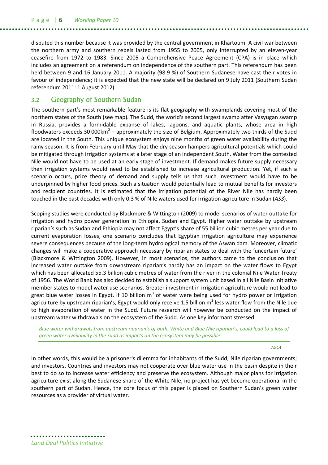disputed this number because it was provided by the central government in Khartoum. A civil war between the northern army and southern rebels lasted from 1955 to 2005, only interrupted by an eleven-year ceasefire from 1972 to 1983. Since 2005 a Comprehensive Peace Agreement (CPA) is in place which includes an agreement on a referendum on independence of the southern part. This referendum has been held between 9 and 16 January 2011. A majority (98.9 %) of Southern Sudanese have cast their votes in favour of independence; it is expected that the new state will be declared on 9 July 2011 (Southern Sudan referendum 2011: 1 August 2012).

### 3.2 Geography of Southern Sudan

The southern part's most remarkable feature is its flat geography with swamplands covering most of the northern states of the South (see map). The Sudd, the world's second largest swamp after Vasyugan swamp in Russia, provides a formidable expanse of lakes, lagoons, and aquatic plants, whose area in high floodwaters exceeds 30 000km<sup>2</sup> – approximately the size of Belgium. Approximately two thirds of the Sudd are located in the South. This unique ecosystem enjoys nine months of green water availability during the rainy season. It is from February until May that the dry season hampers agricultural potentials which could be mitigated through irrigation systems at a later stage of an independent South. Water from the contested Nile would not have to be used at an early stage of investment. If demand makes future supply necessary then irrigation systems would need to be established to increase agricultural production. Yet, if such a scenario occurs, price theory of demand and supply tells us that such investment would have to be underpinned by higher food prices. Such a situation would potentially lead to mutual benefits for investors and recipient countries. It is estimated that the irrigation potential of the River Nile has hardly been touched in the past decades with only 0.3 % of Nile waters used for irrigation agriculture in Sudan (*AS3*).

Scoping studies were conducted by Blackmore & Wittington (2009) to model scenarios of water outtake for irrigation and hydro power generation in Ethiopia, Sudan and Egypt. Higher water outtake by upstream riparian's such as Sudan and Ethiopia may not affect Egypt's share of 55 billion cubic metres per year due to current evaporation losses, one scenario concludes that Egyptian irrigation agriculture may experience severe consequences because of the long-term hydrological memory of the Aswan dam. Moreover, climatic changes will make a cooperative approach necessary by riparian states to deal with the 'uncertain future' (Blackmore & Wittington 2009). However, in most scenarios, the authors came to the conclusion that increased water outtake from downstream riparian's hardly has an impact on the water flows to Egypt which has been allocated 55.3 billion cubic metres of water from the river in the colonial Nile Water Treaty of 1956. The World Bank has also decided to establish a support system unit based in all Nile Basin Initiative member states to model water use scenarios. Greater investment in irrigation agriculture would not lead to great blue water losses in Egypt. If 10 billion  $m^3$  of water were being used for hydro power or irrigation agriculture by upstream riparian's, Egypt would only receive 1.5 billion m<sup>3</sup> less water flow from the Nile due to high evaporation of water in the Sudd. Future research will however be conducted on the impact of upstream water withdrawals on the ecosystem of the Sudd. As one key informant stressed:

*Blue water withdrawals from upstream riparian's of both, White and Blue Nile riparian's, could lead to a loss of green water availability in the Sudd as impacts on the ecosystem may be possible.*

AS 14

In other words, this would be a prisoner's dilemma for inhabitants of the Sudd; Nile riparian governments; and investors. Countries and investors may not cooperate over blue water use in the basin despite in their best to do so to increase water efficiency and preserve the ecosystem. Although major plans for irrigation agriculture exist along the Sudanese share of the White Nile, no project has yet become operational in the southern part of Sudan. Hence, the core focus of this paper is placed on Southern Sudan's green water resources as a provider of virtual water.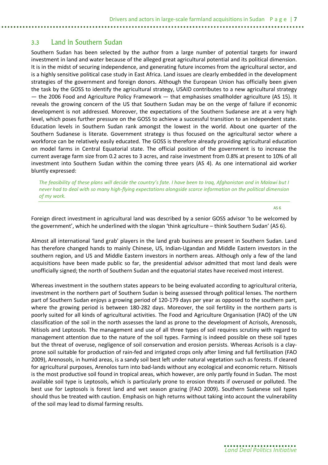### 3.3 Land in Southern Sudan

Southern Sudan has been selected by the author from a large number of potential targets for inward investment in land and water because of the alleged great agricultural potential and its political dimension. It is in the midst of securing independence, and generating future incomes from the agricultural sector, and is a highly sensitive political case study in East Africa. Land issues are clearly embedded in the development strategies of the government and foreign donors. Although the European Union has officially been given the task by the GOSS to identify the agricultural strategy, USAID contributes to a new agricultural strategy — the 2006 Food and Agriculture Policy Framework — that emphasises smallholder agriculture (AS 15). It reveals the growing concern of the US that Southern Sudan may be on the verge of failure if economic development is not addressed. Moreover, the expectations of the Southern Sudanese are at a very high level, which poses further pressure on the GOSS to achieve a successful transition to an independent state. Education levels in Southern Sudan rank amongst the lowest in the world. About one quarter of the Southern Sudanese is literate. Government strategy is thus focused on the agricultural sector where a workforce can be relatively easily educated. The GOSS is therefore already providing agricultural education on model farms in Central Equatorial state. The official position of the government is to increase the current average farm size from 0.2 acres to 3 acres, and raise investment from 0.8% at present to 10% of all investment into Southern Sudan within the coming three years (AS 4). As one international aid worker bluntly expressed:

*The feasibility of these plans will decide the country's fate. I have been to Iraq, Afghanistan and in Malawi but I never had to deal with so many high-flying expectations alongside scarce information on the political dimension of my work.*

AS 6

Foreign direct investment in agricultural land was described by a senior GOSS advisor 'to be welcomed by the government', which he underlined with the slogan 'think agriculture – think Southern Sudan' (AS 6).

Almost all international 'land grab' players in the land grab business are present in Southern Sudan. Land has therefore changed hands to mainly Chinese, US, Indian-Ugandan and Middle Eastern investors in the southern region, and US and Middle Eastern investors in northern areas. Although only a few of the land acquisitions have been made public so far, the presidential advisor admitted that most land deals were unofficially signed; the north of Southern Sudan and the equatorial states have received most interest.

Whereas investment in the southern states appears to be being evaluated according to agricultural criteria, investment in the northern part of Southern Sudan is being assessed through political lenses. The northern part of Southern Sudan enjoys a growing period of 120-179 days per year as opposed to the southern part, where the growing period is between 180-282 days. Moreover, the soil fertility in the northern parts is poorly suited for all kinds of agricultural activities. The Food and Agriculture Organisation (FAO) of the UN classification of the soil in the north assesses the land as prone to the development of Acrisols, Arenosols, Nitisols and Leptosols. The management and use of all three types of soil requires scrutiny with regard to management attention due to the nature of the soil types. Farming is indeed possible on these soil types but the threat of overuse, negligence of soil conservation and erosion persists. Whereas Acrisols is a clayprone soil suitable for production of rain-fed and irrigated crops only after liming and full fertilisation (FAO 2009), Arenosols, in humid areas, is a sandy soil best left under natural vegetation such as forests. If cleared for agricultural purposes, Arenolos turn into bad-lands without any ecological and economic return. Nitisols is the most productive soil found in tropical areas, which however, are only partly found in Sudan. The most available soil type is Leptosols, which is particularly prone to erosion threats if overused or polluted. The best use for Leptosols is forest land and wet season grazing (FAO 2009). Southern Sudanese soil types should thus be treated with caution. Emphasis on high returns without taking into account the vulnerability of the soil may lead to dismal farming results.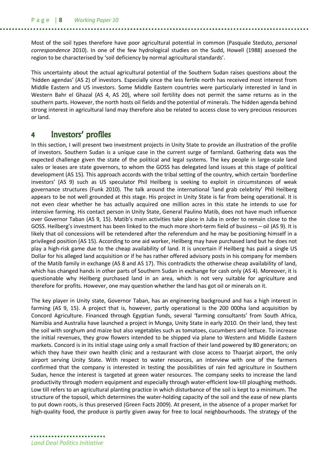Most of the soil types therefore have poor agricultural potential in common (Pasquale Steduto, *personal correspondence* 2010). In one of the few hydrological studies on the Sudd, Howell (1988) assessed the region to be characterised by 'soil deficiency by normal agricultural standards'.

This uncertainty about the actual agricultural potential of the Southern Sudan raises questions about the 'hidden agendas' (AS 2) of investors. Especially since the less fertile north has received most interest from Middle Eastern and US investors. Some Middle Eastern countries were particularly interested in land in Western Bahr el Ghazal (AS 4, AS 20), where soil fertility does not permit the same returns as in the southern parts. However, the north hosts oil fields and the potential of minerals. The hidden agenda behind strong interest in agricultural land may therefore also be related to access close to very precious resources or land.

## **4 Investors' profiles**

In this section, I will present two investment projects in Unity State to provide an illustration of the profile of investors. Southern Sudan is a unique case in the current surge of farmland. Gathering data was the expected challenge given the state of the political and legal systems. The key people in large-scale land sales or leases are state governors, to whom the GOSS has delegated land issues at this stage of political development (AS 15). This approach accords with the tribal setting of the country, which certain 'borderline investors' (AS 9) such as US speculator Phil Heilberg is seeking to exploit in circumstances of weak governance structures (Funk 2010). The talk around the international 'land grab celebrity' Phil Heilberg appears to be not well grounded at this stage. His project in Unity State is far from being operational. It is not even clear whether he has actually acquired one million acres in this state he intends to use for intensive farming. His contact person in Unity State, General Paulino Matib, does not have much influence over Governor Taban (AS 9, 15). Matib's main activities take place in Juba in order to remain close to the GOSS. Heilberg's investment has been linked to the much more short-term field of business – oil (AS 9). It is likely that oil concessions will be retendered after the referendum and he may be positioning himself in a privileged position (AS 15). According to one aid worker, Heilberg may have purchased land but he does not play a high-risk game due to the cheap availability of land. It is uncertain if Heilberg has paid a single US Dollar for his alleged land acquisition or if he has rather offered advisory posts in his company for members of the Matib family in exchange (AS 8 and AS 17). This contradicts the otherwise cheap availability of land, which has changed hands in other parts of Southern Sudan in exchange for cash only (AS 4). Moreover, it is questionable why Heilberg purchased land in an area, which is not very suitable for agriculture and therefore for profits. However, one may question whether the land has got oil or minerals on it.

The key player in Unity state, Governor Taban, has an engineering background and has a high interest in farming (AS 9, 15). A project that is, however, partly operational is the 200 000ha land acquisition by Concord Agriculture. Financed through Egyptian funds, several 'farming consultants' from South Africa, Namibia and Australia have launched a project in Munga, Unity State in early 2010. On their land, they test the soil with sorghum and maize but also vegetables such as tomatoes, cucumbers and lettuce. To increase the initial revenues, they grow flowers intended to be shipped via plane to Western and Middle Eastern markets. Concord is in its initial stage using only a small fraction of their land powered by 80 generators; on which they have their own health clinic and a restaurant with close access to Thaarjat airport, the only airport serving Unity State. With respect to water resources, an interview with one of the farmers confirmed that the company is interested in testing the possibilities of rain fed agriculture in Southern Sudan, hence the interest is targeted at green water resources. The company seeks to increase the land productivity through modern equipment and especially through water-efficient low-till ploughing methods. Low till refers to an agricultural planting practice in which disturbance of the soil is kept to a minimum. The structure of the topsoil, which determines the water-holding capacity of the soil and the ease of new plants to put down roots, is thus preserved (Green Facts 2009). At present, in the absence of a proper market for high-quality food, the produce is partly given away for free to local neighbourhoods. The strategy of the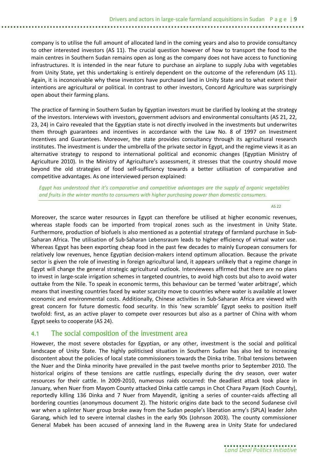company is to utilise the full amount of allocated land in the coming years and also to provide consultancy to other interested investors (AS 11). The crucial question however of how to transport the food to the main centres in Southern Sudan remains open as long as the company does not have access to functioning infrastructures. It is intended in the near future to purchase an airplane to supply Juba with vegetables from Unity State, yet this undertaking is entirely dependent on the outcome of the referendum (AS 11). Again, it is inconceivable why these investors have purchased land in Unity State and to what extent their intentions are agricultural or political. In contrast to other investors, Concord Agriculture was surprisingly open about their farming plans.

The practice of farming in Southern Sudan by Egyptian investors must be clarified by looking at the strategy of the investors. Interviews with investors, government advisors and environmental consultants (AS 21, 22, 23, 24) in Cairo revealed that the Egyptian state is not directly involved in the investments but underwrites them through guarantees and incentives in accordance with the Law No. 8 of 1997 on Investment Incentives and Guarantees. Moreover, the state provides consultancy through its agricultural research institutes. The investment is under the umbrella of the private sector in Egypt, and the regime views it as an alternative strategy to respond to international political and economic changes (Egyptian Ministry of Agriculture 2010). In the Ministry of Agriculture's assessment, it stresses that the country should move beyond the old strategies of food self-sufficiency towards a better utilisation of comparative and competitive advantages. As one interviewed person explained:

*Egypt has understood that it's comparative and competitive advantages are the supply of organic vegetables and fruits in the winter months to consumers with higher purchasing power than domestic consumers.*

AS 22

Moreover, the scarce water resources in Egypt can therefore be utilised at higher economic revenues, whereas staple foods can be imported from tropical zones such as the investment in Unity State. Furthermore, production of biofuels is also mentioned as a potential strategy of farmland purchase in Sub-Saharan Africa. The utilisation of Sub-Saharan Lebensraum leads to higher efficiency of virtual water use. Whereas Egypt has been exporting cheap food in the past few decades to mainly European consumers for relatively low revenues, hence Egyptian decision-makers intend optimum allocation. Because the private sector is given the role of investing in foreign agricultural land, it appears unlikely that a regime change in Egypt will change the general strategic agricultural outlook. Interviewees affirmed that there are no plans to invest in large-scale irrigation schemes in targeted countries, to avoid high costs but also to avoid water outtake from the Nile. To speak in economic terms, this behaviour can be termed 'water arbitrage', which means that investing countries faced by water scarcity move to countries where water is available at lower economic and environmental costs. Additionally, Chinese activities in Sub-Saharan Africa are viewed with great concern for future domestic food security. In this 'new scramble' Egypt seeks to position itself twofold: first, as an active player to compete over resources but also as a partner of China with whom Egypt seeks to cooperate (AS 24).

### 4.1 The social composition of the investment area

However, the most severe obstacles for Egyptian, or any other, investment is the social and political landscape of Unity State. The highly politicised situation in Southern Sudan has also led to increasing discontent about the policies of local state commissioners towards the Dinka tribe. Tribal tensions between the Nuer and the Dinka minority have prevailed in the past twelve months prior to September 2010. The historical origins of these tensions are cattle rustlings, especially during the dry season, over water resources for their cattle. In 2009-2010, numerous raids occurred: the deadliest attack took place in January, when Nuer from Mayom County attacked Dinka cattle camps in Chot Chara Payam (Koch County), reportedly killing 136 Dinka and 7 Nuer from Mayendit, igniting a series of counter-raids affecting all bordering counties (anonymous document 2). The historic origins date back to the second Sudanese civil war when a splinter Nuer group broke away from the Sudan people's liberation army's (SPLA) leader John Garang, which led to severe internal clashes in the early 90s (Johnson 2003). The county commissioner General Mabek has been accused of annexing land in the Ruweng area in Unity State for undeclared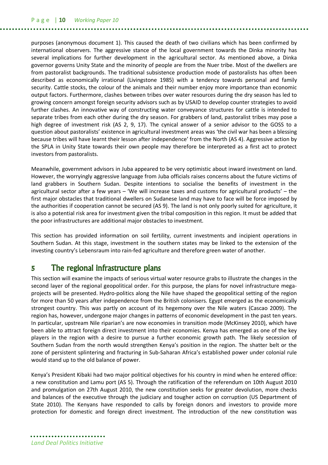purposes (anonymous document 1). This caused the death of two civilians which has been confirmed by international observers. The aggressive stance of the local government towards the Dinka minority has several implications for further development in the agricultural sector. As mentioned above, a Dinka governor governs Unity State and the minority of people are from the Nuer tribe. Most of the dwellers are from pastoralist backgrounds. The traditional subsistence production mode of pastoralists has often been described as economically irrational (Livingstone 1985) with a tendency towards personal and family security. Cattle stocks, the colour of the animals and their number enjoy more importance than economic output factors. Furthermore, clashes between tribes over water resources during the dry season has led to growing concern amongst foreign security advisors such as by USAID to develop counter strategies to avoid further clashes. An innovative way of constructing water conveyance structures for cattle is intended to separate tribes from each other during the dry season. For grabbers of land, pastoralist tribes may pose a high degree of investment risk (AS 2, 9, 17). The cynical answer of a senior advisor to the GOSS to a question about pastoralists' existence in agricultural investment areas was 'the civil war has been a blessing because tribes will have learnt their lesson after independence' from the North (AS 4). Aggressive action by the SPLA in Unity State towards their own people may therefore be interpreted as a first act to protect investors from pastoralists.

Meanwhile, government advisors in Juba appeared to be very optimistic about inward investment on land. However, the worryingly aggressive language from Juba officials raises concerns about the future victims of land grabbers in Southern Sudan. Despite intentions to socialise the benefits of investment in the agricultural sector after a few years – 'We will increase taxes and customs for agricultural products' – the first major obstacles that traditional dwellers on Sudanese land may have to face will be force imposed by the authorities if cooperation cannot be secured (AS 9). The land is not only poorly suited for agriculture, it is also a potential risk area for investment given the tribal composition in this region. It must be added that the poor infrastructures are additional major obstacles to investment.

This section has provided information on soil fertility, current investments and incipient operations in Southern Sudan. At this stage, investment in the southern states may be linked to the extension of the investing country's Lebensraum into rain-fed agriculture and therefore green water of another.

# **5 The regional infrastructure plans**

This section will examine the impacts of serious virtual water resource grabs to illustrate the changes in the second layer of the regional geopolitical order. For this purpose, the plans for novel infrastructure megaprojects will be presented. Hydro-politics along the Nile have shaped the geopolitical setting of the region for more than 50 years after independence from the British colonisers. Egypt emerged as the economically strongest country. This was partly on account of its hegemony over the Nile waters (Cascao 2009). The region has, however, undergone major changes in patterns of economic development in the past ten years. In particular, upstream Nile riparian's are now economies in transition mode (McKinsey 2010), which have been able to attract foreign direct investment into their economies. Kenya has emerged as one of the key players in the region with a desire to pursue a further economic growth path. The likely secession of Southern Sudan from the north would strengthen Kenya's position in the region. The shatter belt or the zone of persistent splintering and fracturing in Sub-Saharan Africa's established power under colonial rule would stand up to the old balance of power.

Kenya's President Kibaki had two major political objectives for his country in mind when he entered office: a new constitution and Lamu port (AS 5). Through the ratification of the referendum on 10th August 2010 and promulgation on 27th August 2010, the new constitution seeks for greater devolution, more checks and balances of the executive through the judiciary and tougher action on corruption (US Department of State 2010). The Kenyans have responded to calls by foreign donors and investors to provide more protection for domestic and foreign direct investment. The introduction of the new constitution was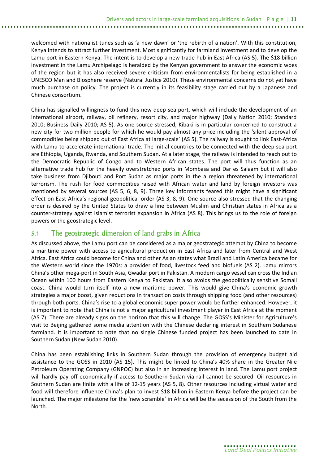welcomed with nationalist tunes such as 'a new dawn' or 'the rebirth of a nation'. With this constitution, Kenya intends to attract further investment. Most significantly for farmland investment and to develop the Lamu port in Eastern Kenya. The intent is to develop a new trade hub in East Africa (AS 5). The \$18 billion investment in the Lamu Archipelago is heralded by the Kenyan government to answer the economic woes of the region but it has also received severe criticism from environmentalists for being established in a UNESCO Man and Biosphere reserve (Natural Justice 2010). These environmental concerns do not yet have much purchase on policy. The project is currently in its feasibility stage carried out by a Japanese and Chinese consortium.

China has signalled willingness to fund this new deep-sea port, which will include the development of an international airport, railway, oil refinery, resort city, and major highway (Daily Nation 2010; Standard 2010; Business Daily 2010; AS 5). As one source stressed, Kibaki is in particular concerned to construct a new city for two million people for which he would pay almost any price including the 'silent approval of commodities being shipped out of East Africa at large-scale' (AS 5). The railway is sought to link East-Africa with Lamu to accelerate international trade. The initial countries to be connected with the deep-sea port are Ethiopia, Uganda, Rwanda, and Southern Sudan. At a later stage, the railway is intended to reach out to the Democratic Republic of Congo and to Western African states. The port will thus function as an alternative trade hub for the heavily overstretched ports in Mombasa and Dar es Salaam but it will also take business from Djibouti and Port Sudan as major ports in the a region threatened by international terrorism. The rush for food commodities raised with African water and land by foreign investors was mentioned by several sources (AS 5, 6, 8, 9). Three key informants feared this might have a significant effect on East Africa's regional geopolitical order (AS 3, 8, 9). One source also stressed that the changing order is desired by the United States to draw a line between Muslim and Christian states in Africa as a counter-strategy against Islamist terrorist expansion in Africa (AS 8). This brings us to the role of foreign powers or the geostrategic level.

### 5.1 The geostrategic dimension of land grabs in Africa

As discussed above, the Lamu port can be considered as a major geostrategic attempt by China to become a maritime power with access to agricultural production in East Africa and later from Central and West Africa. East Africa could become for China and other Asian states what Brazil and Latin America became for the Western world since the 1970s: a provider of food, livestock feed and biofuels (AS 2). Lamu mirrors China's other mega-port in South Asia, Gwadar port in Pakistan. A modern cargo vessel can cross the Indian Ocean within 100 hours from Eastern Kenya to Pakistan. It also avoids the geopolitically sensitive Somali coast. China would turn itself into a new maritime power. This would give China's economic growth strategies a major boost, given reductions in transaction costs through shipping food (and other resources) through both ports. China's rise to a global economic super power would be further enhanced. However, it is important to note that China is not a major agricultural investment player in East Africa at the moment (AS 7). There are already signs on the horizon that this will change. The GOSS's Minister for Agriculture's visit to Beijing gathered some media attention with the Chinese declaring interest in Southern Sudanese farmland. It is important to note that no single Chinese funded project has been launched to date in Southern Sudan (New Sudan 2010).

China has been establishing links in Southern Sudan through the provision of emergency budget aid assistance to the GOSS in 2010 (AS 15). This might be linked to China's 40% share in the Greater Nile Petroleum Operating Company (GNPOC) but also in an increasing interest in land. The Lamu port project will hardly pay off economically if access to Southern Sudan via rail cannot be secured. Oil resources in Southern Sudan are finite with a life of 12-15 years (AS 5, 8). Other resources including virtual water and food will therefore influence China's plan to invest \$18 billion in Eastern Kenya before the project can be launched. The major milestone for the 'new scramble' in Africa will be the secession of the South from the North.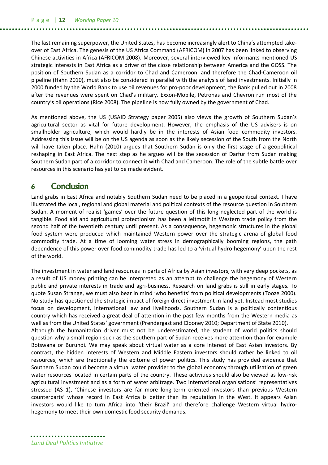The last remaining superpower, the United States, has become increasingly alert to China's attempted takeover of East Africa. The genesis of the US Africa Command (AFRICOM) in 2007 has been linked to observing Chinese activities in Africa (AFRICOM 2008). Moreover, several interviewed key informants mentioned US strategic interests in East Africa as a driver of the close relationship between America and the GOSS. The position of Southern Sudan as a corridor to Chad and Cameroon, and therefore the Chad-Cameroon oil pipeline (Hahn 2010), must also be considered in parallel with the analysis of land investments. Initially in 2000 funded by the World Bank to use oil revenues for pro-poor development, the Bank pulled out in 2008 after the revenues were spent on Chad's military. Exxon-Mobile, Petronas and Chevron run most of the country's oil operations (Rice 2008). The pipeline is now fully owned by the government of Chad.

As mentioned above, the US (USAID Strategy paper 2005) also views the growth of Southern Sudan's agricultural sector as vital for future development. However, the emphasis of the US advisers is on smallholder agriculture, which would hardly be in the interests of Asian food commodity investors. Addressing this issue will be on the US agenda as soon as the likely secession of the South from the North will have taken place. Hahn (2010) argues that Southern Sudan is only the first stage of a geopolitical reshaping in East Africa. The next step as he argues will be the secession of Darfur from Sudan making Southern Sudan part of a corridor to connect it with Chad and Cameroon. The role of the subtle battle over resources in this scenario has yet to be made evident.

# **6 Conclusion**

Land grabs in East Africa and notably Southern Sudan need to be placed in a geopolitical context. I have illustrated the local, regional and global material and political contexts of the resource question in Southern Sudan. A moment of realist 'games' over the future question of this long neglected part of the world is tangible. Food aid and agricultural protectionism has been a leitmotif in Western trade policy from the second half of the twentieth century until present. As a consequence, hegemonic structures in the global food system were produced which maintained Western power over the strategic arena of global food commodity trade. At a time of looming water stress in demographically booming regions, the path dependence of this power over food commodity trade has led to a 'virtual hydro-hegemony' upon the rest of the world.

The investment in water and land resources in parts of Africa by Asian investors, with very deep pockets, as a result of US money printing can be interpreted as an attempt to challenge the hegemony of Western public and private interests in trade and agri-business. Research on land grabs is still in early stages. To quote Susan Strange, we must also bear in mind 'who benefits' from political developments (Tooze 2000). No study has questioned the strategic impact of foreign direct investment in land yet. Instead most studies focus on development, international law and livelihoods. Southern Sudan is a politically contentious country which has received a great deal of attention in the past few months from the Western media as well as from the United States' government (Prendergast and Clooney 2010; Department of State 2010). Although the humanitarian driver must not be underestimated, the student of world politics should question why a small region such as the southern part of Sudan receives more attention than for example Botswana or Burundi. We may speak about virtual water as a core interest of East Asian investors. By contrast, the hidden interests of Western and Middle Eastern investors should rather be linked to oil resources, which are traditionally the epitome of power politics. This study has provided evidence that Southern Sudan could become a virtual water provider to the global economy through utilisation of green water resources located in certain parts of the country. These activities should also be viewed as low-risk agricultural investment and as a form of water arbitrage. Two international organisations' representatives stressed (AS 1), 'Chinese investors are far more long-term oriented investors than previous Western counterparts' whose record in East Africa is better than its reputation in the West. It appears Asian investors would like to turn Africa into 'their Brazil' and therefore challenge Western virtual hydrohegemony to meet their own domestic food security demands.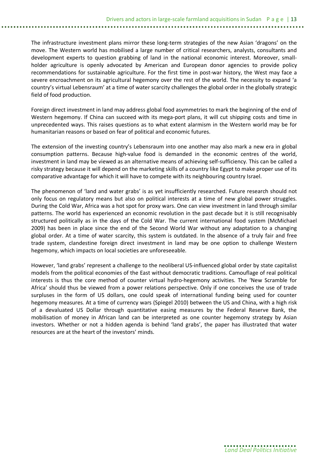The infrastructure investment plans mirror these long-term strategies of the new Asian 'dragons' on the move. The Western world has mobilised a large number of critical researchers, analysts, consultants and development experts to question grabbing of land in the national economic interest. Moreover, smallholder agriculture is openly advocated by American and European donor agencies to provide policy recommendations for sustainable agriculture. For the first time in post-war history, the West may face a severe encroachment on its agricultural hegemony over the rest of the world. The necessity to expand 'a country's virtual Lebensraum' at a time of water scarcity challenges the global order in the globally strategic field of food production.

Foreign direct investment in land may address global food asymmetries to mark the beginning of the end of Western hegemony. If China can succeed with its mega-port plans, it will cut shipping costs and time in unprecedented ways. This raises questions as to what extent alarmism in the Western world may be for humanitarian reasons or based on fear of political and economic futures.

The extension of the investing country's Lebensraum into one another may also mark a new era in global consumption patterns. Because high-value food is demanded in the economic centres of the world, investment in land may be viewed as an alternative means of achieving self-sufficiency. This can be called a risky strategy because it will depend on the marketing skills of a country like Egypt to make proper use of its comparative advantage for which it will have to compete with its neighbouring country Israel.

The phenomenon of 'land and water grabs' is as yet insufficiently researched. Future research should not only focus on regulatory means but also on political interests at a time of new global power struggles. During the Cold War, Africa was a hot spot for proxy wars. One can view investment in land through similar patterns. The world has experienced an economic revolution in the past decade but it is still recognisably structured politically as in the days of the Cold War. The current international food system (McMichael 2009) has been in place since the end of the Second World War without any adaptation to a changing global order. At a time of water scarcity, this system is outdated. In the absence of a truly fair and free trade system, clandestine foreign direct investment in land may be one option to challenge Western hegemony, which impacts on local societies are unforeseeable.

However, 'land grabs' represent a challenge to the neoliberal US-influenced global order by state capitalist models from the political economies of the East without democratic traditions. Camouflage of real political interests is thus the core method of counter virtual hydro-hegemony activities. The 'New Scramble for Africa' should thus be viewed from a power relations perspective. Only if one conceives the use of trade surpluses in the form of US dollars, one could speak of international funding being used for counter hegemony measures. At a time of currency wars (Spiegel 2010) between the US and China, with a high risk of a devaluated US Dollar through quantitative easing measures by the Federal Reserve Bank, the mobilisation of money in African land can be interpreted as one counter hegemony strategy by Asian investors. Whether or not a hidden agenda is behind 'land grabs', the paper has illustrated that water resources are at the heart of the investors' minds.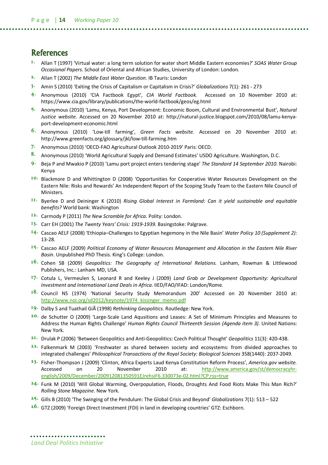# **References**

- **1.** Allan T (1997) 'Virtual water: a long term solution for water short Middle Eastern economies?' *SOAS Water Group Occasional Papers*. School of Oriental and African Studies, University of London: London.
- **2.** Allan T (2002) *The Middle East Water Question*. IB Tauris: London
- **3.** Amin S (2010) 'Exiting the Crisis of Capitalism or Capitalism in Crisis?' *Globalizations* 7(1): 261 273
- **4.** Anonymous (2010) 'CIA Factbook Egypt', *CIA World Factbook.* Accessed on 10 November 2010 at: https://www.cia.gov/library/publications/the-world-factbook/geos/eg.html
- **5.** Anonymous (2010) 'Lamu, Kenya, Port Development: Economic Boom, Cultural and Environmental Bust', *Natural Justice website.* Accessed on 20 November 2010 at: http://natural-justice.blogspot.com/2010/08/lamu-kenyaport-development-economic.html
- **6.** Anonymous (2010) 'Low-till farming', *Green Facts website.* Accessed on 20 November 2010 at: http://www.greenfacts.org/glossary/jkl/low-till-farming.htm
- **7.** Anonymous (2010) 'OECD-FAO Agricultural Outlook 2010-2019' Paris: OECD.
- **8.** Anonymous (2010) 'World Agricultural Supply and Demand Estimates' USDO Agriculture. Washington, D.C.
- **9.** Beja P and Mwakio P (2010) 'Lamu port project enters tendering stage' *The Standard 14 September 2010*. Nairobi: Kenya
- **10.** Blackmore D and Whittington D (2008) 'Opportunities for Cooperative Water Resources Development on the Eastern Nile: Risks and Rewards' An Independent Report of the Scoping Study Team to the Eastern Nile Council of Ministers.
- **11.** Byerlee D and Deininger K (2010) *Rising Global Interest in Farmland: Can it yield sustainable and equitable benefits?* World bank: Washington
- **12.** Carmody P (2011) *The New Scramble for Africa.* Polity: London.
- **13.** Carr EH (2001) *The Twenty Years' Crisis: 1919-1939.* Basingstoke: Palgrave.
- **14.** Cascao AELF (2008) 'Ethiopia–Challenges to Egyptian hegemony in the Nile Basin' *Water Policy 10 (Supplement 2)*: 13-28.
- **15.** Cascao AELF (2009) *Political Economy of Water Resources Management and Allocation in the Eastern Nile River Basin*. Unpublished PhD Thesis. King's College: London.
- **16.** Cohen SB (2009) *Geopolitics: The Geography of International Relations.* Lanham, Rowman & LIttlewood Publishers, Inc.: Lanham MD, USA.
- **17.** Cotula L, Vermeulen S, Leonard R and Keeley J (2009) *Land Grab or Development Opportunity: Agricultural Investment and International Land Deals in Africa*. IIED/FAO/IFAD: London/Rome.
- **18.** Council NS (1974) 'National Security Study Memorandum 200' Accessed on 20 November 2010 at: http://www.noi.org/sd2012/keynote/1974\_kissinger\_memo.pdf
- **19.** Dalby S and Tuathail Già (1998) *Rethinking Geopolitics*. Routledge: New York.
- **20.** de Schutter O (2009) 'Large-Scale Land Aqusitions and Leases: A Set of Minimum Principles and Measures to Address the Human Rights Challenge' *Human Rights Council Thirteenth Session (Agenda item 3)*. United Nations: New York.
- **21.** Drulak P (2006) 'Between Geopolitics and Anti-Geopolitics: Czech Political Thought' *Geopolitics* 11(3): 420-438.
- **22.** Falkenmark M (2003) 'Freshwater as shared between society and ecosystems: from divided approaches to integrated challenges' *Philosophical Transactions of the Royal Society: Biological Sciences* 358(1440): 2037-2049.
- **23.** Fisher-Thompson J (2009) 'Clinton, Africa Experts Laud Kenya Constitution Reform Process', *America.gov website.* Accessed on 20 November 2010 at: http://www.america.gov/st/democracyhrenglish/2009/December/200912081350591EJrehsiF6.330073e-02.html?CP.rss=true
- **24.** Funk M (2010) 'Will Global Warming, Overpopulation, Floods, Droughts And Food Riots Make This Man Rich?' *Rolling Stone Magazine*. New York.
- **25.** Gills B (2010) 'The Swinging of the Pendulum: The Global Crisis and Beyond' *Globalizations* 7(1): 513 522
- **26.** GTZ (2009) 'Foreign Direct Investment (FDI) in land in developing countries' GTZ: Eschborn.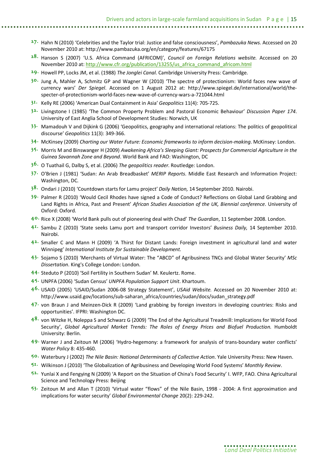- **27.** Hahn N (2010) 'Celebrities and the Taylor trial: Justice and false consciousness', *Pambazuka News.* Accessed on 20 November 2010 at: http://www.pambazuka.org/en/category/features/67175
- **28.** Hanson S (2007) 'U.S. Africa Command (AFRICOM)', *Council on Foreign Relations website.* Accessed on 20 November 2010 at: http://www.cfr.org/publication/13255/us\_africa\_command\_africom.html
- **29.** Howell PP, Locks JM, et al. (1988) *The Jonglei Canal*. Cambridge University Press: Cambridge.
- **30.** Jung A, Mahler A, Schmitz GP and Wagner W (2010) 'The spectre of protectionism: World faces new wave of currency wars' *Der Spiegel*. Accessed on 1 August 2012 at: http://www.spiegel.de/international/world/thespecter-of-protectionism-world-faces-new-wave-of-currency-wars-a-721044.html
- **31.** Kelly RE (2006) 'American Dual Containment in Asia' *Geopolitics* 11(4): 705-725.
- **32.** Livingstone I (1985) 'The Common Property Problem and Pastoral Economic Behaviour' *Discussion Paper 174*. University of East Anglia School of Development Studies: Norwich, UK
- **33.** Mamadouh V and Dijkink G (2006) 'Geopolitics, geography and international relations: The politics of geopolitical discourse' *Geopolitics* 11(3): 349-366.
- **34.** McKinsey (2009) *Charting our Water Future: Economic frameworks to inform decision-making*. McKinsey: London.
- **35.** Morris M and Binswanger H (2009) *Awakening Africa's Sleeping Giant: Prospects for Commercial Agriculture in the Guinea Savannah Zone and Beyond*. World Bank and FAO: Washington, DC
- **36.** O Tuathail G, Dalby S, et al. (2006) *The geopolitics reader*. Routledge: London.
- **37.** O'Brien J (1981) 'Sudan: An Arab Breadbasket' *MERIP Reports*. Middle East Research and Information Project: Washington, DC.
- **38.** Ondari J (2010) 'Countdown starts for Lamu project' *Daily Nation,* 14 September 2010. Nairobi.
- **39.** Palmer R (2010) 'Would Cecil Rhodes have signed a Code of Conduct? Reflections on Global Land Grabbing and Land Rights in Africa, Past and Present' *African Studies Association of the UK, Biennial conference*. University of Oxford: Oxford.
- **40.** Rice X (2008) 'World Bank pulls out of pioneering deal with Chad' *The Guardian*, 11 September 2008. London.
- **41.** Sambu Z (2010) 'State seeks Lamu port and transport corridor Investors' *Business Daily,* 14 September 2010. Nairobi.
- **42.** Smaller C and Mann H (2009) 'A Thirst for Distant Lands: Foreign investment in agricultural land and water Winnipeg' *International Institute for Sustainable Development.*
- **43.** Sojamo S (2010) 'Merchants of Virtual Water: The "ABCD" of Agribusiness TNCs and Global Water Security' *MSc Dissertation*. King's College London: London.
- **44.** Steduto P (2010) 'Soil Fertility in Southern Sudan' M. Keulertz. Rome.
- **45.** UNPFA (2006) 'Sudan Census' *UNPFA Population Support Unit*. Khartoum.
- **46.** USAID (2005) 'USAID/Sudan 2006-08 Strategy Statement', *USAid Website.* Accessed on 20 November 2010 at: http://www.usaid.gov/locations/sub-saharan\_africa/countries/sudan/docs/sudan\_strategy.pdf
- **47.** von Braun J and Meinzen-Dick R (2009) 'Land grabbing by foreign investors in developing countries: Risks and opportunities'. IFPRI: Washington DC.
- **48.** von Witzke H, Noleppa S and Schwarz G (2009) 'The End of the Agricultural Treadmill: Implications for World Food Security', *Global Agricultural Market Trends: The Roles of Energy Prices and Biofuel Production.* Humboldt University: Berlin.
- **49.** Warner J and Zeitoun M (2006) 'Hydro-hegemony: a framework for analysis of trans-boundary water conflicts' *Water Policy* 8: 435-460.
- **50.** Waterbury J (2002) *The Nile Basin: National Determinants of Collective Action*. Yale University Press: New Haven.
- **51.** Wilkinson J (2010) 'The Globalization of Agribusiness and Developing World Food Systems' *Monthly Review*.
- **52.** Yunlai X and Fengying N (2009) 'A Report on the Situation of China's Food Security' I. WFP, FAO. China Agricultural Science and Technology Press: Beijing
- **53.** Zeitoun M and Allan T (2010) 'Virtual water "flows" of the Nile Basin, 1998 2004: A first approximation and implications for water security' *Global Environmental Change* 20(2): 229-242.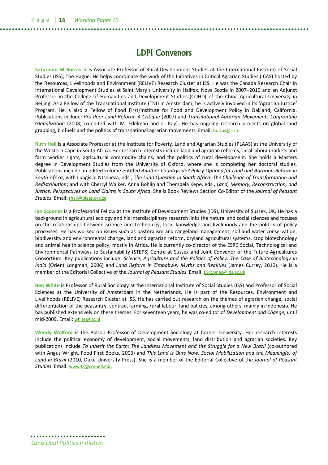# **LDPI Convenors**

**Saturnino M Borras Jr** is Associate Professor of Rural Development Studies at the International Institute of Social Studies (ISS), The Hague. He helps coordinate the work of the Initiatives in Critical Agrarian Studies (ICAS) hosted by the Resources, Livelihoods and Environment (RELIVE) Research Cluster at ISS. He was the Canada Research Chair in International Development Studies at Saint Mary's University in Halifax, Nova Scotia in 2007–2010 and an Adjunct Professor in the College of Humanities and Development Studies (COHD) of the China Agricultural University in Beijing. As a Fellow of the Transnational Institute (TNI) in Amsterdam, he is actively involved in its 'Agrarian Justice' Program. He is also a Fellow of Food First/Institute for Food and Development Policy in Oakland, California. Publications include: *Pro-Poor Land Reform: A Critique* (2007) and *Transnational Agrarian Movements Confronting Globalization* (2008, co-edited with M. Edelman and C. Kay). He has ongoing research projects on global land grabbing, biofuels and the politics of transnational agrarian movements. Email: borras@iss.nl

**Ruth Hall** is a Associate Professor at the Institute for Poverty, Land and Agrarian Studies (PLAAS) at the University of the Western Cape in South Africa. Her research interests include land and agrarian reforms, rural labour markets and farm worker rights, agricultural commodity chains, and the politics of rural development. She holds a Masters degree in Development Studies from the University of Oxford, where she is completing her doctoral studies. Publications include an edited volume entitled *Another Countryside? Policy Options for Land and Agrarian Reform in South Africa*; with Lungisile Ntsebeza, eds.; T*he Land Question in South Africa: The Challenge of Transformation and Redistribution*; and with Cherryl Walker, Anna Bohlin and Thembela Kepe, eds., *Land, Memory, Reconstruction, and Justice: Perspectives on Land Claims in South Africa*. She is Book Reviews Section Co-Editor of the *Journal of Peasant Studies*. Email: rhall@plaas.org.za

**Ian Scoones** is a Professorial Fellow at the Institute of Development Studies (IDS), University of Sussex, UK. He has a background in agricultural ecology and his interdisciplinary research links the natural and social sciences and focuses on the relationships between science and technology, local knowledge and livelihoods and the politics of policy processes. He has worked on issues such as pastoralism and rangeland management, soil and water conservation, biodiversity and environmental change, land and agrarian reform, dryland agricultural systems, crop biotechnology and animal health science policy, mostly in Africa. He is currently co-director of the ESRC Social, Technological and Environmental Pathways to Sustainability (STEPS) Centre at Sussex and Joint Convenor of the Future Agricultures Consortium. Key publications include: *Science, Agriculture and the Politics of Policy: The Case of Biotechnology in India* (Orient Longman, 2006) and *Land Reform in Zimbabwe: Myths and Realities* (James Currey, 2010). He is a member of the Editorial Collective of the *Journal of Peasant Studies*. Email: I.Scoones@ids.ac.uk

**Ben White** is Professor of Rural Sociology at the International Institute of Social Studies (ISS) and Professor of Social Sciences at the University of Amsterdam in the Netherlands. He is part of the Resources, Environment and Livelihoods (RELIVE) Research Cluster at ISS. He has carried out research on the themes of agrarian change, social differentiation of the peasantry, contract farming, rural labour, land policies, among others, mainly in Indonesia. He has published extensively on these themes. For seventeen years, he was co-editor of *Development and Change*, until mid-2009. Email: white@iss.nl

**Wendy Wolford** is the Polson Professor of Development Sociology at Cornell University. Her research interests include the political economy of development, social movements, land distribution and agrarian societies. Key publications include *To Inherit the Earth: The Landless Movement and the Struggle for a New Brazil* (co-authored with Angus Wright, Food First Books, 2003) and *This Land is Ours Now: Social Mobilization and the Meaning(s) of Land in Brazil* (2010, Duke University Press). She is a member of the Editorial Collective of the *Journal of Peasant Studies*. Email: www43@cornell.edu